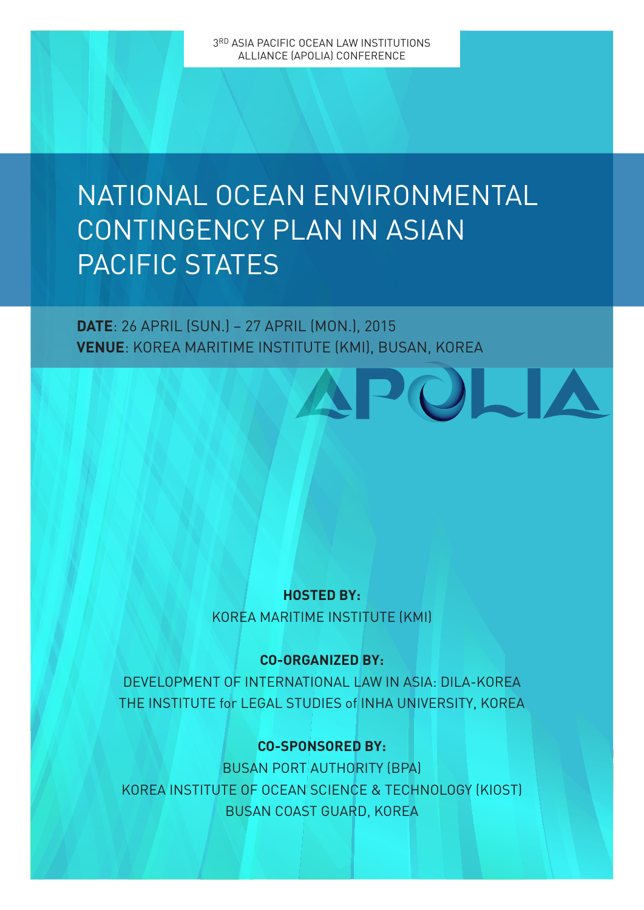# NATIONAL OCEAN ENVIRONMENTAL CONTINGENCY PLAN IN ASIAN PACIFIC STATES

### **DATE**: 26 APRIL (SUN.) – 27 APRIL (MON.), 2015 **VENUE**: KOREA MARITIME INSTITUTE (KMI), BUSAN, KOREA

#### **HOSTED BY:** KOREA MARITIME INSTITUTE (KMI)

#### **CO-ORGANIZED BY:**

DEVELOPMENT OF INTERNATIONAL LAW IN ASIA: DILA-KOREA THE INSTITUTE for LEGAL STUDIES of INHA UNIVERSITY, KOREA

#### **CO-SPONSORED BY:**

BUSAN PORT AUTHORITY (BPA) KOREA INSTITUTE OF OCEAN SCIENCE & TECHNOLOGY (KIOST) BUSAN COAST GUARD, KOREA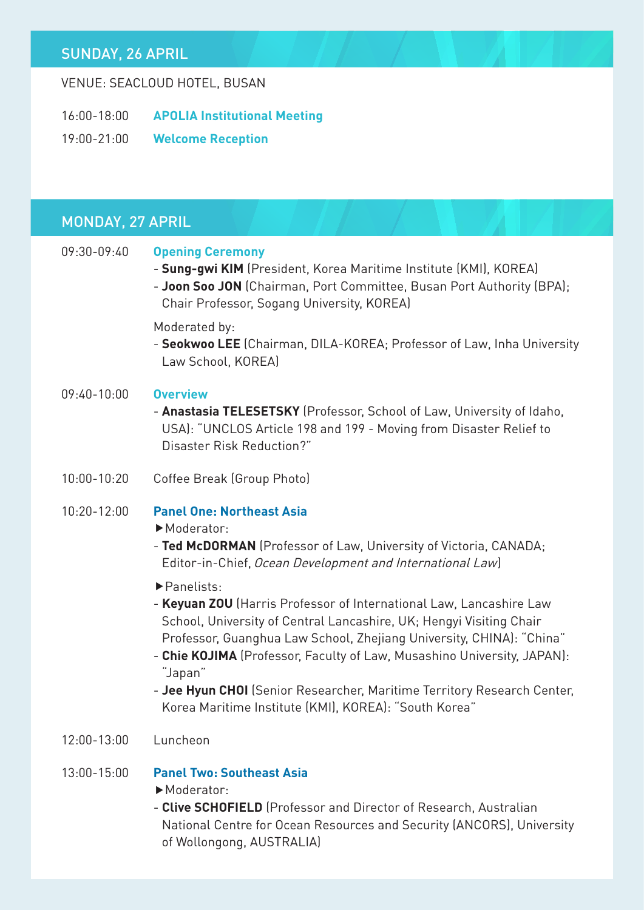#### SUNDAY, 26 APRIL

#### VENUE: SEACLOUD HOTEL, BUSAN

- 16:00-18:00 **APOLIA Institutional Meeting**
- 19:00-21:00 **Welcome Reception**

## MONDAY, 27 APRIL

| 09:30-09:40     | <b>Opening Ceremony</b><br>- Sung-gwi KIM (President, Korea Maritime Institute (KMI), KOREA)<br>- Joon Soo JON (Chairman, Port Committee, Busan Port Authority (BPA);<br>Chair Professor, Sogang University, KOREA)                                                                                                                                                                                                                                        |
|-----------------|------------------------------------------------------------------------------------------------------------------------------------------------------------------------------------------------------------------------------------------------------------------------------------------------------------------------------------------------------------------------------------------------------------------------------------------------------------|
|                 | Moderated by:<br>- Seokwoo LEE (Chairman, DILA-KOREA; Professor of Law, Inha University<br>Law School, KOREA)                                                                                                                                                                                                                                                                                                                                              |
| $09:40-10:00$   | <b>Overview</b><br>- Anastasia TELESETSKY (Professor, School of Law, University of Idaho,<br>USA): "UNCLOS Article 198 and 199 - Moving from Disaster Relief to<br>Disaster Risk Reduction?"                                                                                                                                                                                                                                                               |
| $10:00 - 10:20$ | Coffee Break (Group Photo)                                                                                                                                                                                                                                                                                                                                                                                                                                 |
| $10:20 - 12:00$ | <b>Panel One: Northeast Asia</b><br>Moderator:<br>- Ted McDORMAN (Professor of Law, University of Victoria, CANADA;<br>Editor-in-Chief, Ocean Development and International Law)                                                                                                                                                                                                                                                                           |
|                 | Panelists:<br>- Keyuan ZOU (Harris Professor of International Law, Lancashire Law<br>School, University of Central Lancashire, UK; Hengyi Visiting Chair<br>Professor, Guanghua Law School, Zhejiang University, CHINA): "China"<br>- Chie KOJIMA (Professor, Faculty of Law, Musashino University, JAPAN):<br>"Japan"<br>- Jee Hyun CHOI (Senior Researcher, Maritime Territory Research Center,<br>Korea Maritime Institute (KMI), KOREA): "South Korea" |
| 12:00-13:00     | Luncheon                                                                                                                                                                                                                                                                                                                                                                                                                                                   |
| $13:00 - 15:00$ | <b>Panel Two: Southeast Asia</b><br>Moderator:<br>- Clive SCHOFIELD (Professor and Director of Research, Australian<br>National Centre for Ocean Resources and Security (ANCORS), University<br>of Wollongong, AUSTRALIA)                                                                                                                                                                                                                                  |